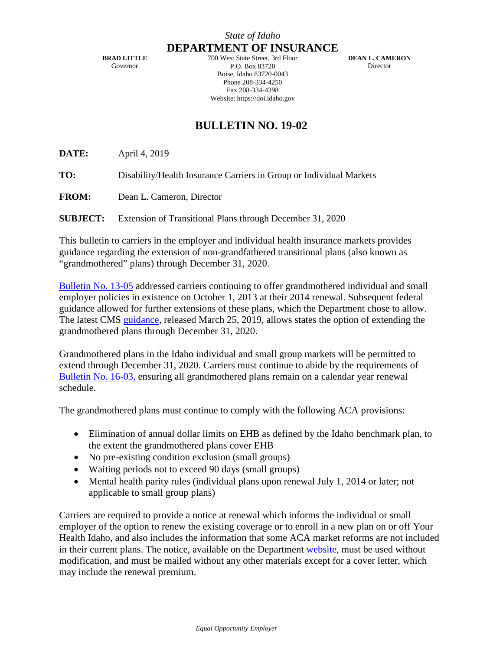**BRAD LITTLE** Governor

**DEPARTMENT OF INSURANCE** 700 West State Street, 3rd Floor P.O. Box 83720 Boise, Idaho 83720-0043 Phone 208-334-4250 Fax 208-334-4398 Website: https://doi.idaho.gov

**DEAN L. CAMERON Director** 

## **BULLETIN NO. 19-02**

**DATE:** April 4, 2019

**TO:** Disability/Health Insurance Carriers in Group or Individual Markets

**FROM:** Dean L. Cameron, Director

**SUBJECT:** Extension of Transitional Plans through December 31, 2020

This bulletin to carriers in the employer and individual health insurance markets provides guidance regarding the extension of non-grandfathered transitional plans (also known as "grandmothered" plans) through December 31, 2020.

[Bulletin No. 13-05](http://www.doi.idaho.gov/laws/13_05.pdf) addressed carriers continuing to offer grandmothered individual and small employer policies in existence on October 1, 2013 at their 2014 renewal. Subsequent federal guidance allowed for further extensions of these plans, which the Department chose to allow. The latest CMS [guidance,](https://www.cms.gov/CCIIO/Resources/Regulations-and-Guidance/Downloads/Limited-Non-Enforcement-Policy-Extension-Through-CY2020.pdf) released March 25, 2019, allows states the option of extending the grandmothered plans through December 31, 2020.

Grandmothered plans in the Idaho individual and small group markets will be permitted to extend through December 31, 2020. Carriers must continue to abide by the requirements of [Bulletin No. 16-03,](http://www.doi.idaho.gov/DisplayPDF2.aspx?Id=2050) ensuring all grandmothered plans remain on a calendar year renewal schedule.

The grandmothered plans must continue to comply with the following ACA provisions:

- Elimination of annual dollar limits on EHB as defined by the Idaho benchmark plan, to the extent the grandmothered plans cover EHB
- No pre-existing condition exclusion (small groups)
- Waiting periods not to exceed 90 days (small groups)
- Mental health parity rules (individual plans upon renewal July 1, 2014 or later; not applicable to small group plans)

Carriers are required to provide a notice at renewal which informs the individual or small employer of the option to renew the existing coverage or to enroll in a new plan on or off Your Health Idaho, and also includes the information that some ACA market reforms are not included in their current plans. The notice, available on the Department [website,](http://www.doi.idaho.gov/Company/Other/Health_Company.aspx) must be used without modification, and must be mailed without any other materials except for a cover letter, which may include the renewal premium.